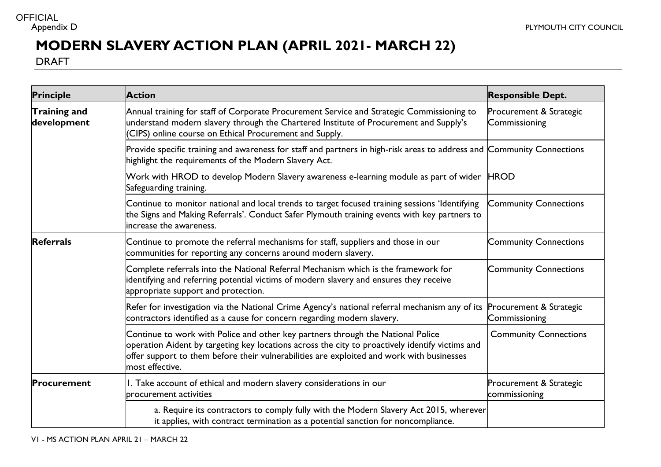## **OFFICIAL**

## **MODERN SLAVERY ACTION PLAN (APRIL 2021- MARCH 22)**

DRAFT

| <b>Principle</b>            | <b>Action</b>                                                                                                                                                                                                                                                                                      | <b>Responsible Dept.</b>                 |
|-----------------------------|----------------------------------------------------------------------------------------------------------------------------------------------------------------------------------------------------------------------------------------------------------------------------------------------------|------------------------------------------|
| Training and<br>development | Annual training for staff of Corporate Procurement Service and Strategic Commissioning to<br>understand modern slavery through the Chartered Institute of Procurement and Supply's<br>(CIPS) online course on Ethical Procurement and Supply.                                                      | Procurement & Strategic<br>Commissioning |
|                             | Provide specific training and awareness for staff and partners in high-risk areas to address and Community Connections<br>highlight the requirements of the Modern Slavery Act.                                                                                                                    |                                          |
|                             | Work with HROD to develop Modern Slavery awareness e-learning module as part of wider<br>Safeguarding training.                                                                                                                                                                                    | <b>HROD</b>                              |
|                             | Continue to monitor national and local trends to target focused training sessions 'Identifying<br>the Signs and Making Referrals'. Conduct Safer Plymouth training events with key partners to<br>increase the awareness.                                                                          | <b>Community Connections</b>             |
| <b>Referrals</b>            | Continue to promote the referral mechanisms for staff, suppliers and those in our<br>communities for reporting any concerns around modern slavery.                                                                                                                                                 | <b>Community Connections</b>             |
|                             | Complete referrals into the National Referral Mechanism which is the framework for<br>identifying and referring potential victims of modern slavery and ensures they receive<br>appropriate support and protection.                                                                                | <b>Community Connections</b>             |
|                             | Refer for investigation via the National Crime Agency's national referral mechanism any of its<br>contractors identified as a cause for concern regarding modern slavery.                                                                                                                          | Procurement & Strategic<br>Commissioning |
|                             | Continue to work with Police and other key partners through the National Police<br>operation Aident by targeting key locations across the city to proactively identify victims and<br>offer support to them before their vulnerabilities are exploited and work with businesses<br>most effective. | <b>Community Connections</b>             |
| Procurement                 | I. Take account of ethical and modern slavery considerations in our<br>procurement activities                                                                                                                                                                                                      | Procurement & Strategic<br>commissioning |
|                             | a. Require its contractors to comply fully with the Modern Slavery Act 2015, wherever<br>it applies, with contract termination as a potential sanction for noncompliance.                                                                                                                          |                                          |